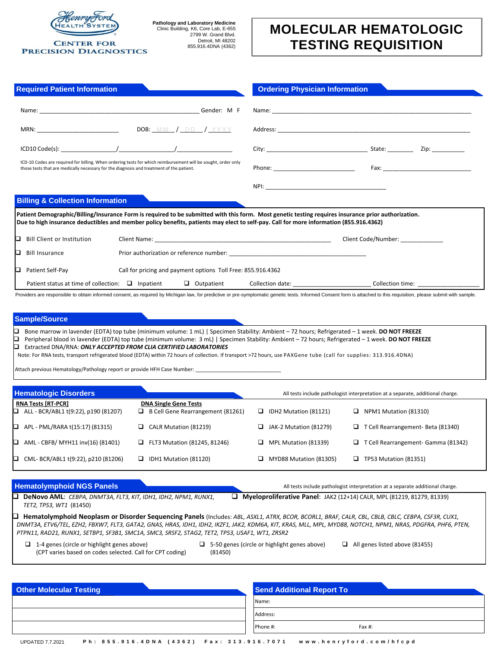

## **CENTER FOR PRECISION DIAGNOSTICS**

**Pathology and Laboratory Medicine** Clinic Building, K6, Core Lab, E-655 2799 W. Grand Blvd. Detroit, MI 48202 855.916.4DNA (4362)

## **MOLECULAR HEMATOLOGIC TESTING REQUISITION**

| <b>Required Patient Information</b>                                                                                                                                                                                                    | <b>Ordering Physician Information</b> |
|----------------------------------------------------------------------------------------------------------------------------------------------------------------------------------------------------------------------------------------|---------------------------------------|
|                                                                                                                                                                                                                                        |                                       |
|                                                                                                                                                                                                                                        |                                       |
|                                                                                                                                                                                                                                        |                                       |
| ICD-10 Codes are required for billing. When ordering tests for which reimbursement will be sought, order only<br>those tests that are medically necessary for the diagnosis and treatment of the patient.                              |                                       |
|                                                                                                                                                                                                                                        |                                       |
| <b>Billing &amp; Collection Information</b>                                                                                                                                                                                            |                                       |
| Patient Demographic/Billing/Insurance Form is required to be submitted with this form. Most genetic testing requires insurance prior authorization.                                                                                    |                                       |
| Due to high insurance deductibles and member policy benefits, patients may elect to self-pay. Call for more information (855.916.4362)                                                                                                 |                                       |
| <b>Bill Client or Institution</b>                                                                                                                                                                                                      | Client Code/Number:                   |
| <b>Bill Insurance</b><br>Prior authorization or reference number: New York Change and School and School and School and School and School<br>O                                                                                          |                                       |
| Patient Self-Pay<br>Call for pricing and payment options Toll Free: 855.916.4362                                                                                                                                                       |                                       |
| O<br>O                                                                                                                                                                                                                                 |                                       |
| Providers are responsible to obtain informed consent, as required by Michigan law, for predictive or pre-symptomatic genetic tests. Informed Consent form is attached to this requisition, please submit with sample.<br>Sample/Source |                                       |

Note: For RNA tests, transport refrigerated blood (EDTA) within 72 hours of collection. If transport >72 hours, use PAXGene tube (call for supplies: 313.916.4DNA)

Attach previous Hematology/Pathology report or provide HFH Case Number:

| <b>Hematologic Disorders</b>                |                                   |    |                        | All tests include pathologist interpretation at a separate, additional charge. |
|---------------------------------------------|-----------------------------------|----|------------------------|--------------------------------------------------------------------------------|
| <b>RNA Tests [RT-PCR]</b>                   | <b>DNA Single Gene Tests</b>      |    |                        |                                                                                |
| $\Box$ ALL - BCR/ABL1 t(9:22), p190 (81207) | B Cell Gene Rearrangement (81261) | ⊔. | IDH2 Mutation (81121)  | NPM1 Mutation (81310)<br>⊔.                                                    |
| $\Box$ APL - PML/RARA t(15:17) (81315)      | CALR Mutation (81219)             | ⊔. | JAK-2 Mutation (81279) | $\Box$ T Cell Rearrangement- Beta (81340)                                      |
| $\Box$ AML - CBFB/ MYH11 inv(16) (81401)    | FLT3 Mutation (81245, 81246)      | ⊔. | MPL Mutation (81339)   | $\Box$ T Cell Rearrangement- Gamma (81342)                                     |
| $\Box$ CML-BCR/ABL1 t(9:22), p210 (81206)   | IDH1 Mutation (81120)<br>□        |    | MYD88 Mutation (81305) | <b>TP53 Mutation (81351)</b>                                                   |

 **DeNovo AML**: *CEBPA, DNMT3A, FLT3, KIT, IDH1, IDH2, NPM1, RUNX1,*  **Myeloproliferative Panel**: JAK2 (12+14) CALR, MPL (81219, 81279, 81339)

**Hematolymphoid NGS Panels All tests include pathologist interpretation** at a separate additional charge.

*TET2, TP53, WT1* (81450) **Hematolymphoid Neoplasm or Disorder Sequencing Panels** (Includes: *ABL, ASXL1, ATRX, BCOR, BCORL1, BRAF, CALR, CBL, CBLB, CBLC, CEBPA, CSF3R, CUX1,* 

*DNMT3A, ETV6/TEL, EZH2, FBXW7, FLT3, GATA2, GNAS, HRAS, IDH1, IDH2, IKZF1, JAK2, KDM6A, KIT, KRAS, MLL, MPL, MYD88, NOTCH1, NPM1, NRAS, PDGFRA, PHF6, PTEN, PTPN11, RAD21, RUNX1, SETBP1, SF3B1, SMC1A, SMC3, SRSF2, STAG2, TET2, TP53, USAF1, WT1, ZRSR2*

| $\Box$ 1-4 genes (circle or highlight genes above)        | $\Box$ 5-50 genes (circle or highlight genes above) | $\Box$ All genes listed above (81455) |
|-----------------------------------------------------------|-----------------------------------------------------|---------------------------------------|
| (CPT varies based on codes selected. Call for CPT coding) | (81450)                                             |                                       |

| <b>Other Molecular Testing</b> | <b>Send Additional Report To</b> |
|--------------------------------|----------------------------------|
|                                | Name:                            |
|                                | Address:                         |
|                                | Fax #:<br>Phone #:               |